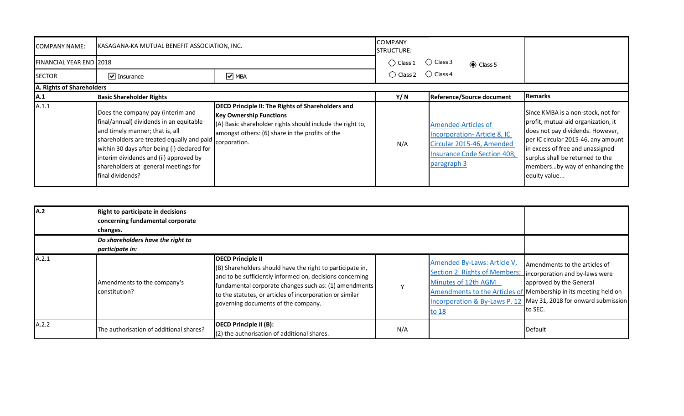| <b>COMPANY NAME:</b>           | KASAGANA-KA MUTUAL BENEFIT ASSOCIATION, INC.<br><b>STRUCTURE:</b>                                                                                                                                                                                                                                                              |                                                                                                                                                                                                            |                    |                                           |                                                                                                |                                                                                                                                                                                                                                                                                |
|--------------------------------|--------------------------------------------------------------------------------------------------------------------------------------------------------------------------------------------------------------------------------------------------------------------------------------------------------------------------------|------------------------------------------------------------------------------------------------------------------------------------------------------------------------------------------------------------|--------------------|-------------------------------------------|------------------------------------------------------------------------------------------------|--------------------------------------------------------------------------------------------------------------------------------------------------------------------------------------------------------------------------------------------------------------------------------|
| <b>FINANCIAL YEAR END 2018</b> |                                                                                                                                                                                                                                                                                                                                |                                                                                                                                                                                                            | $\bigcirc$ Class 1 | $\bigcirc$ Class 3                        | Class 5                                                                                        |                                                                                                                                                                                                                                                                                |
| <b>SECTOR</b>                  | $\boxed{\mathbf{v}}$ Insurance                                                                                                                                                                                                                                                                                                 | $\boxed{\triangledown}$ MBA                                                                                                                                                                                | $\bigcirc$ Class 2 | $\bigcirc$ Class 4                        |                                                                                                |                                                                                                                                                                                                                                                                                |
| A. Rights of Shareholders      |                                                                                                                                                                                                                                                                                                                                |                                                                                                                                                                                                            |                    |                                           |                                                                                                |                                                                                                                                                                                                                                                                                |
| $\mathsf{A}.1$                 | <b>Basic Shareholder Rights</b>                                                                                                                                                                                                                                                                                                |                                                                                                                                                                                                            | Y/N                |                                           | Reference/Source document                                                                      | Remarks                                                                                                                                                                                                                                                                        |
| A.1.1                          | Does the company pay (interim and<br>final/annual) dividends in an equitable<br>and timely manner; that is, all<br>shareholders are treated equally and paid corporation.<br>within 30 days after being (i) declared for<br>interim dividends and (ii) approved by<br>shareholders at general meetings for<br>final dividends? | <b>OECD Principle II: The Rights of Shareholders and</b><br><b>Key Ownership Functions</b><br>(A) Basic shareholder rights should include the right to,<br>amongst others: (6) share in the profits of the | N/A                | <b>Amended Articles of</b><br>paragraph 3 | Incorporation-Article 8, IC<br>Circular 2015-46, Amended<br><b>Insurance Code Section 408,</b> | Since KMBA is a non-stock, not for<br>profit, mutual aid organization, it<br>does not pay dividends. However,<br>per IC circular 2015-46, any amount<br>in excess of free and unassigned<br>surplus shall be returned to the<br>membersby way of enhancing the<br>equity value |

| <b>A.2</b> | Right to participate in decisions<br>concerning fundamental corporate<br>changes. |                                                                                                                                                                                                                                                                                                               |     |                                                                                                                             |                                                                                                                                                                                                             |
|------------|-----------------------------------------------------------------------------------|---------------------------------------------------------------------------------------------------------------------------------------------------------------------------------------------------------------------------------------------------------------------------------------------------------------|-----|-----------------------------------------------------------------------------------------------------------------------------|-------------------------------------------------------------------------------------------------------------------------------------------------------------------------------------------------------------|
|            | Do shareholders have the right to<br>participate in:                              |                                                                                                                                                                                                                                                                                                               |     |                                                                                                                             |                                                                                                                                                                                                             |
| A.2.1      | Amendments to the company's<br>Iconstitution?                                     | <b>OECD Principle II</b><br>(B) Shareholders should have the right to participate in,<br>and to be sufficiently informed on, decisions concerning<br>fundamental corporate changes such as: (1) amendments<br>to the statutes, or articles of incorporation or similar<br>governing documents of the company. |     | Amended By-Laws: Article V,<br>Section 2. Rights of Members; incorporation and by-laws were<br>Minutes of 12th AGM<br>to 18 | Amendments to the articles of<br>approved by the General<br>Amendments to the Articles of Membership in its meeting held on<br>Incorporation & By-Laws P. 12 May 31, 2018 for onward submission<br>Ito SEC. |
| A.2.2      | The authorisation of additional shares?                                           | <b>OECD Principle II (B):</b><br>$(2)$ the authorisation of additional shares.                                                                                                                                                                                                                                | N/A |                                                                                                                             | Default                                                                                                                                                                                                     |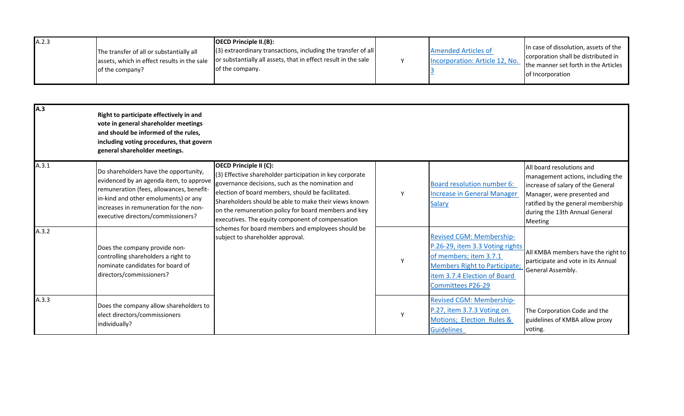| A.2.3 |                                                                                         | <b>OECD Principle II.(B):</b>                                                                                                     |                                                              |                                                                              |
|-------|-----------------------------------------------------------------------------------------|-----------------------------------------------------------------------------------------------------------------------------------|--------------------------------------------------------------|------------------------------------------------------------------------------|
|       | The transfer of all or substantially all<br>assets, which in effect results in the sale | $(3)$ extraordinary transactions, including the transfer of all<br>or substantially all assets, that in effect result in the sale | <b>Amended Articles of</b><br>Incorporation: Article 12, No. | In case of dissolution, assets of the<br>corporation shall be distributed in |
|       | of the company?                                                                         | of the company.                                                                                                                   |                                                              | the manner set forth in the Articles<br>of Incorporation                     |

| A.3   | Right to participate effectively in and<br>vote in general shareholder meetings<br>and should be informed of the rules,<br>including voting procedures, that govern<br>general shareholder meetings.                                                 |                                                                                                                                                                                                                                                                                                                                                                                                                                                                  |   |                                                                                                                                                                                           |                                                                                                                                                                                                                       |
|-------|------------------------------------------------------------------------------------------------------------------------------------------------------------------------------------------------------------------------------------------------------|------------------------------------------------------------------------------------------------------------------------------------------------------------------------------------------------------------------------------------------------------------------------------------------------------------------------------------------------------------------------------------------------------------------------------------------------------------------|---|-------------------------------------------------------------------------------------------------------------------------------------------------------------------------------------------|-----------------------------------------------------------------------------------------------------------------------------------------------------------------------------------------------------------------------|
| A.3.1 | Do shareholders have the opportunity,<br>evidenced by an agenda item, to approve<br>remuneration (fees, allowances, benefit-<br>in-kind and other emoluments) or any<br>increases in remuneration for the non-<br>executive directors/commissioners? | <b>OECD Principle II (C):</b><br>(3) Effective shareholder participation in key corporate<br>governance decisions, such as the nomination and<br>election of board members, should be facilitated.<br>Shareholders should be able to make their views known<br>on the remuneration policy for board members and key<br>executives. The equity component of compensation<br>schemes for board members and employees should be<br>subject to shareholder approval. | Y | <b>Board resolution number 6:</b><br><b>Increase in General Manager</b><br><b>Salary</b>                                                                                                  | All board resolutions and<br>management actions, including the<br>increase of salary of the General<br>Manager, were presented and<br>ratified by the general membership<br>during the 13th Annual General<br>Meeting |
| A.3.2 | Does the company provide non-<br>controlling shareholders a right to<br>nominate candidates for board of<br>directors/commissioners?                                                                                                                 |                                                                                                                                                                                                                                                                                                                                                                                                                                                                  | Y | <b>Revised CGM: Membership-</b><br>P.26-29, item 3.3 Voting rights<br>of members; item 3.7.1<br><b>Members Right to Participate;</b><br>item 3.7.4 Election of Board<br>Committees P26-29 | All KMBA members have the right to<br>participate and vote in its Annual<br>General Assembly.                                                                                                                         |
| A.3.3 | Does the company allow shareholders to<br>elect directors/commissioners<br>individually?                                                                                                                                                             |                                                                                                                                                                                                                                                                                                                                                                                                                                                                  | Y | <b>Revised CGM: Membership-</b><br>P.27, item 3.7.3 Voting on<br>Motions; Election Rules &<br><b>Guidelines</b>                                                                           | The Corporation Code and the<br>guidelines of KMBA allow proxy<br>voting.                                                                                                                                             |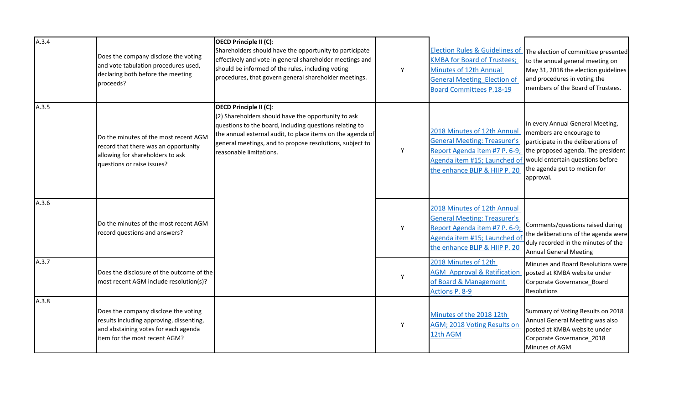| A.3.4 | Does the company disclose the voting<br>and vote tabulation procedures used,<br>declaring both before the meeting<br>proceeds?                             | <b>OECD Principle II (C):</b><br>Shareholders should have the opportunity to participate<br>effectively and vote in general shareholder meetings and<br>should be informed of the rules, including voting<br>procedures, that govern general shareholder meetings.                            | Y | <b>Election Rules &amp; Guidelines of</b><br><b>KMBA for Board of Trustees;</b><br>Minutes of 12th Annual<br>General Meeting Election of<br><b>Board Committees P.18-19</b> | The election of committee presented<br>to the annual general meeting on<br>May 31, 2018 the election guidelines<br>and procedures in voting the<br>members of the Board of Trustees.                                       |
|-------|------------------------------------------------------------------------------------------------------------------------------------------------------------|-----------------------------------------------------------------------------------------------------------------------------------------------------------------------------------------------------------------------------------------------------------------------------------------------|---|-----------------------------------------------------------------------------------------------------------------------------------------------------------------------------|----------------------------------------------------------------------------------------------------------------------------------------------------------------------------------------------------------------------------|
| A.3.5 | Do the minutes of the most recent AGM<br>record that there was an opportunity<br>allowing for shareholders to ask<br>questions or raise issues?            | OECD Principle II (C):<br>(2) Shareholders should have the opportunity to ask<br>questions to the board, including questions relating to<br>the annual external audit, to place items on the agenda of<br>general meetings, and to propose resolutions, subject to<br>reasonable limitations. | Y | 2018 Minutes of 12th Annual<br><b>General Meeting: Treasurer's</b><br>Report Agenda item #7 P. 6-9;<br>Agenda item #15; Launched of<br>the enhance BLIP & HIIP P. 20        | In every Annual General Meeting,<br>members are encourage to<br>participate in the deliberations of<br>the proposed agenda. The president<br>would entertain questions before<br>the agenda put to motion for<br>approval. |
| A.3.6 | Do the minutes of the most recent AGM<br>record questions and answers?                                                                                     |                                                                                                                                                                                                                                                                                               | Y | 2018 Minutes of 12th Annual<br><b>General Meeting: Treasurer's</b><br>Report Agenda item #7 P. 6-9;<br>Agenda item #15; Launched of<br>the enhance BLIP & HIIP P. 20        | Comments/questions raised during<br>the deliberations of the agenda were<br>duly recorded in the minutes of the<br><b>Annual General Meeting</b>                                                                           |
| A.3.7 | Does the disclosure of the outcome of the<br>most recent AGM include resolution(s)?                                                                        |                                                                                                                                                                                                                                                                                               | Y | 2018 Minutes of 12th<br><b>AGM</b> Approval & Ratification<br>of Board & Management<br>Actions P. 8-9                                                                       | Minutes and Board Resolutions were<br>posted at KMBA website under<br>Corporate Governance_Board<br><b>Resolutions</b>                                                                                                     |
| A.3.8 | Does the company disclose the voting<br>results including approving, dissenting,<br>and abstaining votes for each agenda<br>litem for the most recent AGM? |                                                                                                                                                                                                                                                                                               | Y | Minutes of the 2018 12th<br>AGM; 2018 Voting Results on<br>12th AGM                                                                                                         | Summary of Voting Results on 2018<br>Annual General Meeting was also<br>posted at KMBA website under<br>Corporate Governance_2018<br>Minutes of AGM                                                                        |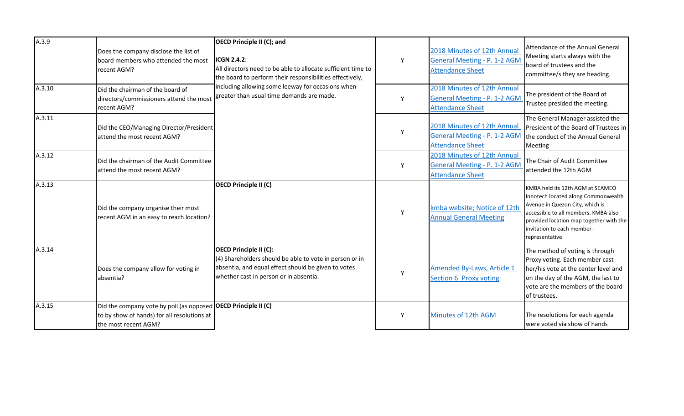| A.3.9  | Does the company disclose the list of<br>board members who attended the most<br>recent AGM?                                           | <b>OECD Principle II (C); and</b><br><b>ICGN 2.4.2:</b><br>All directors need to be able to allocate sufficient time to<br>the board to perform their responsibilities effectively,<br>including allowing some leeway for occasions when<br>greater than usual time demands are made. | Y | 2018 Minutes of 12th Annual<br>General Meeting - P. 1-2 AGM<br><b>Attendance Sheet</b>        | Attendance of the Annual General<br>Meeting starts always with the<br>board of trustees and the<br>committee/s they are heading.                                                                                                              |
|--------|---------------------------------------------------------------------------------------------------------------------------------------|---------------------------------------------------------------------------------------------------------------------------------------------------------------------------------------------------------------------------------------------------------------------------------------|---|-----------------------------------------------------------------------------------------------|-----------------------------------------------------------------------------------------------------------------------------------------------------------------------------------------------------------------------------------------------|
| A.3.10 | Did the chairman of the board of<br>directors/commissioners attend the most<br>recent AGM?                                            |                                                                                                                                                                                                                                                                                       | Υ | 2018 Minutes of 12th Annual<br><b>General Meeting - P. 1-2 AGM</b><br><b>Attendance Sheet</b> | The president of the Board of<br>Trustee presided the meeting.                                                                                                                                                                                |
| A.3.11 | Did the CEO/Managing Director/President<br>lattend the most recent AGM?                                                               |                                                                                                                                                                                                                                                                                       | Y | 2018 Minutes of 12th Annual<br>General Meeting - P. 1-2 AGM<br><b>Attendance Sheet</b>        | The General Manager assisted the<br>President of the Board of Trustees in<br>the conduct of the Annual General<br>Meeting                                                                                                                     |
| A.3.12 | Did the chairman of the Audit Committee<br>attend the most recent AGM?                                                                |                                                                                                                                                                                                                                                                                       | Y | 2018 Minutes of 12th Annual<br>General Meeting - P. 1-2 AGM<br><b>Attendance Sheet</b>        | The Chair of Audit Committee<br>attended the 12th AGM                                                                                                                                                                                         |
| A.3.13 | Did the company organise their most<br>recent AGM in an easy to reach location?                                                       | <b>OECD Principle II (C)</b>                                                                                                                                                                                                                                                          | Y | kmba website; Notice of 12th<br><b>Annual General Meeting</b>                                 | KMBA held its 12th AGM at SEAMEO<br>Innotech located along Commonwealth<br>Avenue in Quezon City, which is<br>accessible to all members. KMBA also<br>provided location map together with the<br>invitation to each member-<br>representative |
| A.3.14 | Does the company allow for voting in<br>absentia?                                                                                     | <b>OECD Principle II (C):</b><br>(4) Shareholders should be able to vote in person or in<br>absentia, and equal effect should be given to votes<br>whether cast in person or in absentia.                                                                                             | Y | Amended By-Laws, Article 1<br>Section 6 Proxy voting                                          | The method of voting is through<br>Proxy voting. Each member cast<br>her/his vote at the center level and<br>on the day of the AGM, the last to<br>vote are the members of the board<br>of trustees.                                          |
| A.3.15 | Did the company vote by poll (as opposed OECD Principle II (C)<br>to by show of hands) for all resolutions at<br>the most recent AGM? |                                                                                                                                                                                                                                                                                       | Y | Minutes of 12th AGM                                                                           | The resolutions for each agenda<br>were voted via show of hands                                                                                                                                                                               |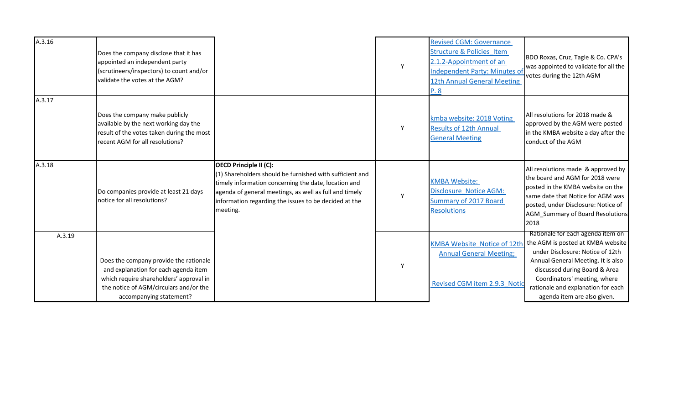| A.3.16 | Does the company disclose that it has<br>appointed an independent party<br>(scrutineers/inspectors) to count and/or<br>validate the votes at the AGM?                                          |                                                                                                                                                                                                                                                                                    | Y | <b>Revised CGM: Governance</b><br><b>Structure &amp; Policies Item</b><br>2.1.2-Appointment of an<br>Independent Party: Minutes of<br>12th Annual General Meeting<br>P.8 | BDO Roxas, Cruz, Tagle & Co. CPA's<br>was appointed to validate for all the<br>votes during the 12th AGM                                                                                                                                                                               |
|--------|------------------------------------------------------------------------------------------------------------------------------------------------------------------------------------------------|------------------------------------------------------------------------------------------------------------------------------------------------------------------------------------------------------------------------------------------------------------------------------------|---|--------------------------------------------------------------------------------------------------------------------------------------------------------------------------|----------------------------------------------------------------------------------------------------------------------------------------------------------------------------------------------------------------------------------------------------------------------------------------|
| A.3.17 | Does the company make publicly<br>available by the next working day the<br>result of the votes taken during the most<br>recent AGM for all resolutions?                                        |                                                                                                                                                                                                                                                                                    | Y | kmba website: 2018 Voting<br><b>Results of 12th Annual</b><br><b>General Meeting</b>                                                                                     | All resolutions for 2018 made &<br>approved by the AGM were posted<br>in the KMBA website a day after the<br>conduct of the AGM                                                                                                                                                        |
| A.3.18 | Do companies provide at least 21 days<br>notice for all resolutions?                                                                                                                           | <b>OECD Principle II (C):</b><br>$(1)$ Shareholders should be furnished with sufficient and<br>timely information concerning the date, location and<br>agenda of general meetings, as well as full and timely<br>information regarding the issues to be decided at the<br>meeting. | Y | <b>KMBA Website:</b><br><b>Disclosure Notice AGM:</b><br>Summary of 2017 Board<br><b>Resolutions</b>                                                                     | All resolutions made & approved by<br>the board and AGM for 2018 were<br>posted in the KMBA website on the<br>same date that Notice for AGM was<br>posted, under Disclosure: Notice of<br><b>AGM Summary of Board Resolutions</b><br>2018                                              |
| A.3.19 | Does the company provide the rationale<br>and explanation for each agenda item<br>which require shareholders' approval in<br>the notice of AGM/circulars and/or the<br>accompanying statement? |                                                                                                                                                                                                                                                                                    | Y | <b>KMBA Website Notice of 12th</b><br><b>Annual General Meeting;</b><br>Revised CGM item 2.9.3 Notic                                                                     | Rationale for each agenda item on<br>the AGM is posted at KMBA website<br>under Disclosure: Notice of 12th<br>Annual General Meeting. It is also<br>discussed during Board & Area<br>Coordinators' meeting, where<br>rationale and explanation for each<br>agenda item are also given. |